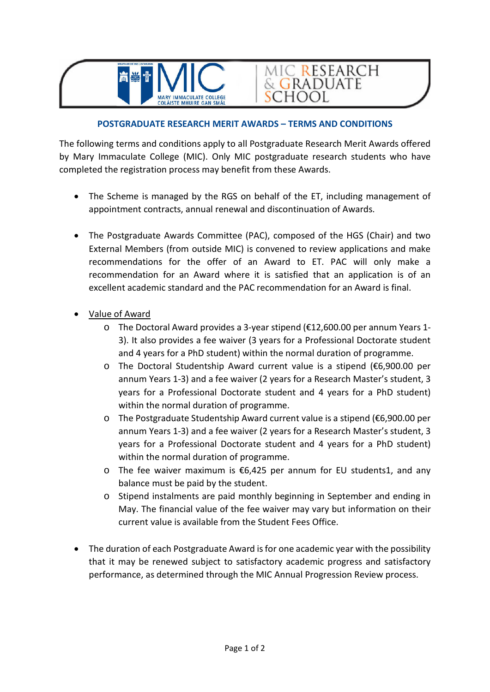

## **POSTGRADUATE RESEARCH MERIT AWARDS – TERMS AND CONDITIONS**

MIC RESEARCH<br>& GRADUATE

**SCHOOL** 

The following terms and conditions apply to all Postgraduate Research Merit Awards offered by Mary Immaculate College (MIC). Only MIC postgraduate research students who have completed the registration process may benefit from these Awards.

- The Scheme is managed by the RGS on behalf of the ET, including management of appointment contracts, annual renewal and discontinuation of Awards.
- The Postgraduate Awards Committee (PAC), composed of the HGS (Chair) and two External Members (from outside MIC) is convened to review applications and make recommendations for the offer of an Award to ET. PAC will only make a recommendation for an Award where it is satisfied that an application is of an excellent academic standard and the PAC recommendation for an Award is final.
- Value of Award
	- o The Doctoral Award provides a 3-year stipend (€12,600.00 per annum Years 1- 3). It also provides a fee waiver (3 years for a Professional Doctorate student and 4 years for a PhD student) within the normal duration of programme.
	- o The Doctoral Studentship Award current value is a stipend (€6,900.00 per annum Years 1-3) and a fee waiver (2 years for a Research Master's student, 3 years for a Professional Doctorate student and 4 years for a PhD student) within the normal duration of programme.
	- o The Postgraduate Studentship Award current value is a stipend (€6,900.00 per annum Years 1-3) and a fee waiver (2 years for a Research Master's student, 3 years for a Professional Doctorate student and 4 years for a PhD student) within the normal duration of programme.
	- o The fee waiver maximum is €6,425 per annum for EU students1, and any balance must be paid by the student.
	- o Stipend instalments are paid monthly beginning in September and ending in May. The financial value of the fee waiver may vary but information on their current value is available from the Student Fees Office.
- The duration of each Postgraduate Award is for one academic year with the possibility that it may be renewed subject to satisfactory academic progress and satisfactory performance, as determined through the MIC Annual Progression Review process.